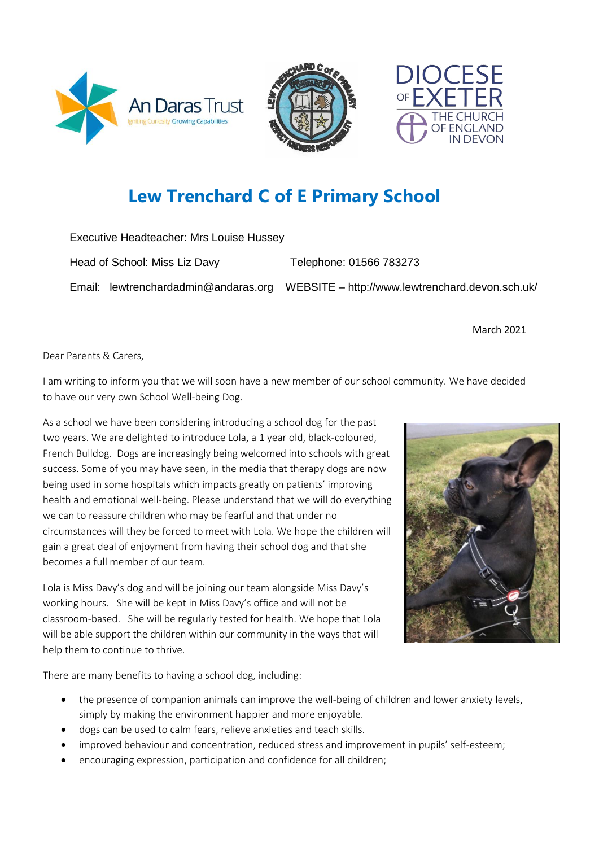





# **Lew Trenchard C of E Primary School**

| Executive Headteacher: Mrs Louise Hussey |                                      |                                                 |
|------------------------------------------|--------------------------------------|-------------------------------------------------|
| Head of School: Miss Liz Davy            |                                      | Telephone: 01566 783273                         |
|                                          | Email: lewtrenchardadmin@andaras.org | WEBSITE - http://www.lewtrenchard.devon.sch.uk/ |

March 2021

Dear Parents & Carers,

I am writing to inform you that we will soon have a new member of our school community. We have decided to have our very own School Well-being Dog.

As a school we have been considering introducing a school dog for the past two years. We are delighted to introduce Lola, a 1 year old, black-coloured, French Bulldog. Dogs are increasingly being welcomed into schools with great success. Some of you may have seen, in the media that therapy dogs are now being used in some hospitals which impacts greatly on patients' improving health and emotional well-being. Please understand that we will do everything we can to reassure children who may be fearful and that under no circumstances will they be forced to meet with Lola. We hope the children will gain a great deal of enjoyment from having their school dog and that she becomes a full member of our team.

Lola is Miss Davy's dog and will be joining our team alongside Miss Davy's working hours. She will be kept in Miss Davy's office and will not be classroom-based. She will be regularly tested for health. We hope that Lola will be able support the children within our community in the ways that will help them to continue to thrive.



There are many benefits to having a school dog, including:

- the presence of companion animals can improve the well-being of children and lower anxiety levels, simply by making the environment happier and more enjoyable.
- dogs can be used to calm fears, relieve anxieties and teach skills.
- improved behaviour and concentration, reduced stress and improvement in pupils' self-esteem;
- encouraging expression, participation and confidence for all children;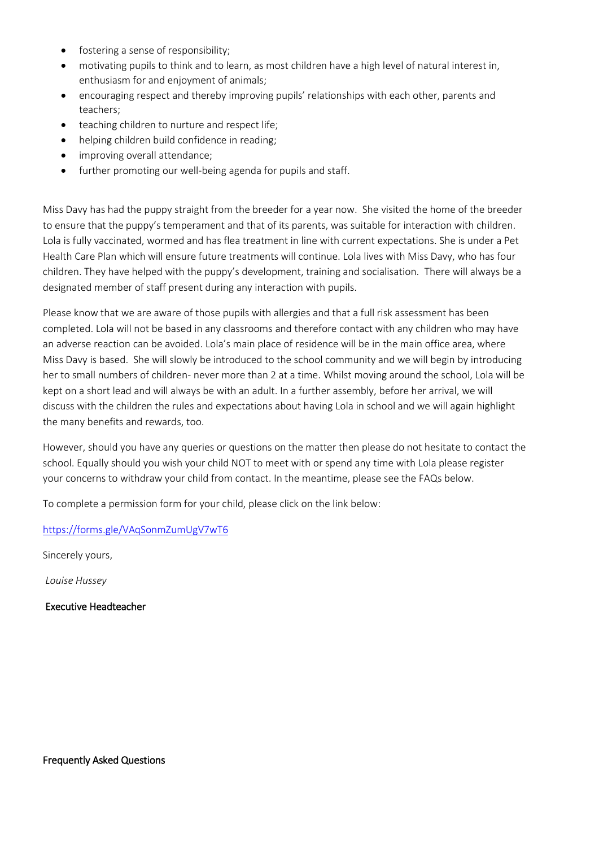- fostering a sense of responsibility;
- motivating pupils to think and to learn, as most children have a high level of natural interest in, enthusiasm for and enjoyment of animals;
- encouraging respect and thereby improving pupils' relationships with each other, parents and teachers;
- teaching children to nurture and respect life;
- helping children build confidence in reading;
- improving overall attendance;
- further promoting our well-being agenda for pupils and staff.

Miss Davy has had the puppy straight from the breeder for a year now. She visited the home of the breeder to ensure that the puppy's temperament and that of its parents, was suitable for interaction with children. Lola is fully vaccinated, wormed and has flea treatment in line with current expectations. She is under a Pet Health Care Plan which will ensure future treatments will continue. Lola lives with Miss Davy, who has four children. They have helped with the puppy's development, training and socialisation. There will always be a designated member of staff present during any interaction with pupils.

Please know that we are aware of those pupils with allergies and that a full risk assessment has been completed. Lola will not be based in any classrooms and therefore contact with any children who may have an adverse reaction can be avoided. Lola's main place of residence will be in the main office area, where Miss Davy is based. She will slowly be introduced to the school community and we will begin by introducing her to small numbers of children- never more than 2 at a time. Whilst moving around the school, Lola will be kept on a short lead and will always be with an adult. In a further assembly, before her arrival, we will discuss with the children the rules and expectations about having Lola in school and we will again highlight the many benefits and rewards, too.

However, should you have any queries or questions on the matter then please do not hesitate to contact the school. Equally should you wish your child NOT to meet with or spend any time with Lola please register your concerns to withdraw your child from contact. In the meantime, please see the FAQs below.

To complete a permission form for your child, please click on the link below:

<https://forms.gle/VAqSonmZumUgV7wT6>

Sincerely yours,

*Louise Hussey*

Executive Headteacher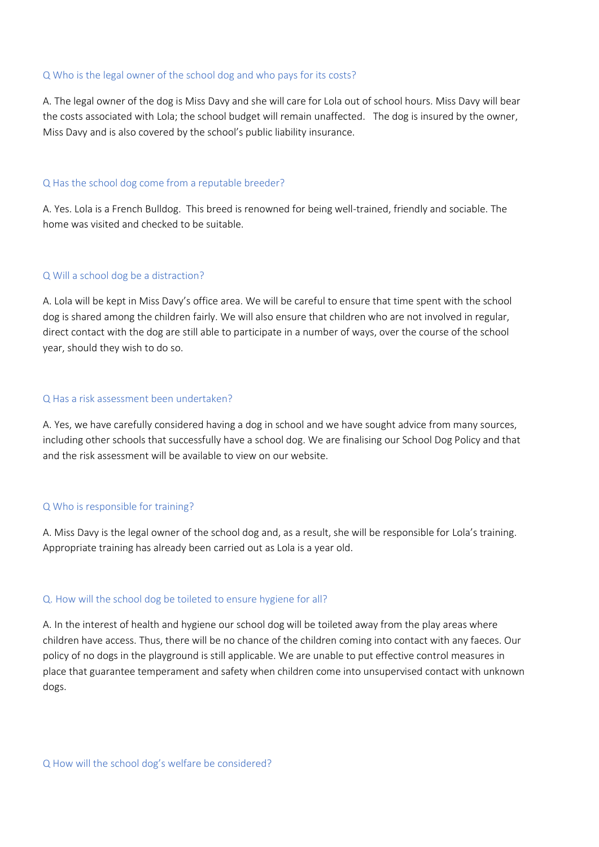#### Q Who is the legal owner of the school dog and who pays for its costs?

A. The legal owner of the dog is Miss Davy and she will care for Lola out of school hours. Miss Davy will bear the costs associated with Lola; the school budget will remain unaffected. The dog is insured by the owner, Miss Davy and is also covered by the school's public liability insurance.

#### Q Has the school dog come from a reputable breeder?

A. Yes. Lola is a French Bulldog. This breed is renowned for being well-trained, friendly and sociable. The home was visited and checked to be suitable.

#### Q Will a school dog be a distraction?

A. Lola will be kept in Miss Davy's office area. We will be careful to ensure that time spent with the school dog is shared among the children fairly. We will also ensure that children who are not involved in regular, direct contact with the dog are still able to participate in a number of ways, over the course of the school year, should they wish to do so.

#### Q Has a risk assessment been undertaken?

A. Yes, we have carefully considered having a dog in school and we have sought advice from many sources, including other schools that successfully have a school dog. We are finalising our School Dog Policy and that and the risk assessment will be available to view on our website.

## Q Who is responsible for training?

A. Miss Davy is the legal owner of the school dog and, as a result, she will be responsible for Lola's training. Appropriate training has already been carried out as Lola is a year old.

## Q. How will the school dog be toileted to ensure hygiene for all?

A. In the interest of health and hygiene our school dog will be toileted away from the play areas where children have access. Thus, there will be no chance of the children coming into contact with any faeces. Our policy of no dogs in the playground is still applicable. We are unable to put effective control measures in place that guarantee temperament and safety when children come into unsupervised contact with unknown dogs.